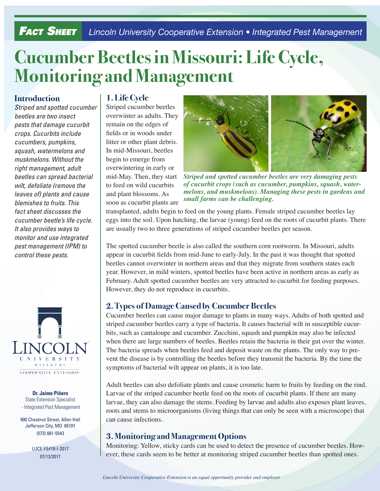# **FACT SHEET** Lincoln University Cooperative Extension • Integrated Pest Management

# **Cucumber Beetles in Missouri: Life Cycle, Monitoring and Management**

#### **Introduction**

*Striped and spotted cucumber beetles are two insect pests that damage cucurbit crops. Cucurbits include cucumbers, pumpkins, squash, watermelons and muskmelons. Without the right management, adult beetles can spread bacterial wilt, defoliate (remove the leaves of) plants and cause blemishes to fruits. This fact sheet discusses the cucumber beetle's life cycle. It also provides ways to monitor and use integrated pest management (IPM) to control these pests.*



**Dr. Jaime Piñero** State Extension Specialist - Integrated Pest Management

900 Chestnut Street, Allen Hall Jefferson City, MO 65101 (573) 681-5543

> LUCE FS#18-I-2017 07/13/2017

#### **1. Life Cycle**

Striped cucumber beetles overwinter as adults. They remain on the edges of fields or in woods under litter or other plant debris. In mid-Missouri, beetles begin to emerge from overwintering in early or mid-May. Then, they start to feed on wild cucurbits and plant blossoms. As soon as cucurbit plants are



*Striped and spotted cucumber beetles are very damaging pests of cucurbit crops (such as cucumber, pumpkins, squash, watermelons, and muskmelons). Managing these pests in gardens and small farms can be challenging.*

transplanted, adults begin to feed on the young plants. Female striped cucumber beetles lay eggs into the soil. Upon hatching, the larvae (young) feed on the roots of cucurbit plants. There are usually two to three generations of striped cucumber beetles per season.

The spotted cucumber beetle is also called the southern corn rootworm. In Missouri, adults appear in cucurbit fields from mid-June to early-July. In the past it was thought that spotted beetles cannot overwinter in northern areas and that they migrate from southern states each year. However, in mild winters, spotted beetles have been active in northern areas as early as February. Adult spotted cucumber beetles are very attracted to cucurbit for feeding purposes. However, they do not reproduce in cucurbits.

### **2. Types of Damage Caused by Cucumber Beetles**

Cucumber beetles can cause major damage to plants in many ways. Adults of both spotted and striped cucumber beetles carry a type of bacteria. It causes bacterial wilt in susceptible cucurbits, such as cantaloupe and cucumber. Zucchini, squash and pumpkin may also be infected when there are large numbers of beetles. Beetles retain the bacteria in their gut over the winter. The bacteria spreads when beetles feed and deposit waste on the plants. The only way to prevent the disease is by controlling the beetles before they transmit the bacteria. By the time the symptoms of bacterial wilt appear on plants, it is too late.

Adult beetles can also defoliate plants and cause cosmetic harm to fruits by feeding on the rind. Larvae of the striped cucumber beetle feed on the roots of cucurbit plants. If there are many larvae, they can also damage the stems. Feeding by larvae and adults also exposes plant leaves, roots and stems to microorganisms (living things that can only be seen with a microscope) that can cause infections.

### **3. Monitoring and Management Options**

Monitoring: Yellow, sticky cards can be used to detect the presence of cucumber beetles. However, these cards seem to be better at monitoring striped cucumber beetles than spotted ones.